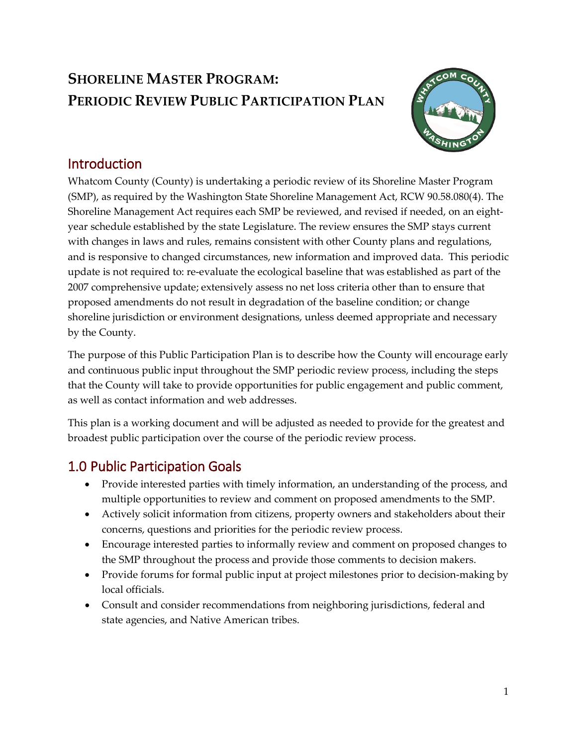# **SHORELINE MASTER PROGRAM: PERIODIC REVIEW PUBLIC PARTICIPATION PLAN**



### Introduction

Whatcom County (County) is undertaking a periodic review of its Shoreline Master Program (SMP), as required by the Washington State Shoreline Management Act, RCW 90.58.080(4). The Shoreline Management Act requires each SMP be reviewed, and revised if needed, on an eightyear schedule established by the state Legislature. The review ensures the SMP stays current with changes in laws and rules, remains consistent with other County plans and regulations, and is responsive to changed circumstances, new information and improved data. This periodic update is not required to: re-evaluate the ecological baseline that was established as part of the 2007 comprehensive update; extensively assess no net loss criteria other than to ensure that proposed amendments do not result in degradation of the baseline condition; or change shoreline jurisdiction or environment designations, unless deemed appropriate and necessary by the County.

The purpose of this Public Participation Plan is to describe how the County will encourage early and continuous public input throughout the SMP periodic review process, including the steps that the County will take to provide opportunities for public engagement and public comment, as well as contact information and web addresses.

This plan is a working document and will be adjusted as needed to provide for the greatest and broadest public participation over the course of the periodic review process.

## 1.0 Public Participation Goals

- Provide interested parties with timely information, an understanding of the process, and multiple opportunities to review and comment on proposed amendments to the SMP.
- Actively solicit information from citizens, property owners and stakeholders about their concerns, questions and priorities for the periodic review process.
- Encourage interested parties to informally review and comment on proposed changes to the SMP throughout the process and provide those comments to decision makers.
- Provide forums for formal public input at project milestones prior to decision-making by local officials.
- Consult and consider recommendations from neighboring jurisdictions, federal and state agencies, and Native American tribes.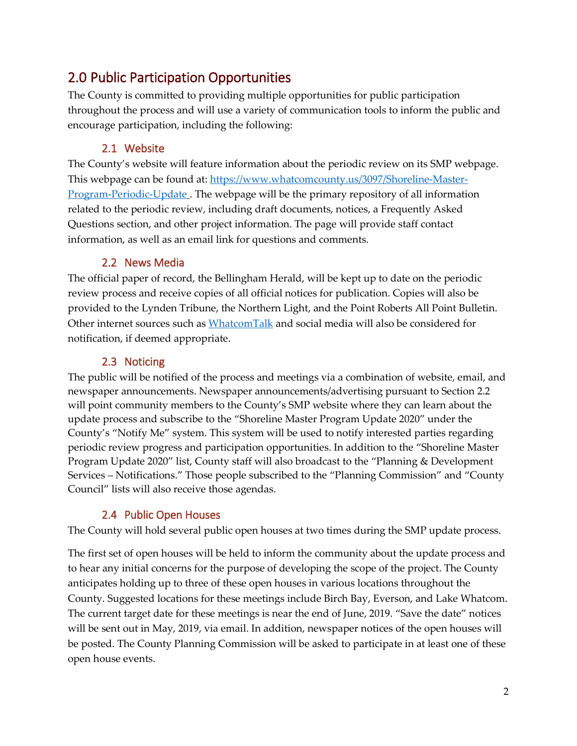### 2.0 Public Participation Opportunities

The County is committed to providing multiple opportunities for public participation throughout the process and will use a variety of communication tools to inform the public and encourage participation, including the following:

#### 2.1 Website

The County's website will feature information about the periodic review on its SMP webpage. This webpage can be found at: [https://www.whatcomcounty.us/3097/Shoreline-Master-](https://www.whatcomcounty.us/3097/Shoreline-Master-Program-Periodic-Update)[Program-Periodic-Update](https://www.whatcomcounty.us/3097/Shoreline-Master-Program-Periodic-Update) . The webpage will be the primary repository of all information related to the periodic review, including draft documents, notices, a Frequently Asked Questions section, and other project information. The page will provide staff contact information, as well as an email link for questions and comments.

#### 2.2 News Media

<span id="page-1-0"></span>The official paper of record, the Bellingham Herald, will be kept up to date on the periodic review process and receive copies of all official notices for publication. Copies will also be provided to the Lynden Tribune, the Northern Light, and the Point Roberts All Point Bulletin. Other internet sources such as [WhatcomTalk](https://www.whatcomtalk.com/) and social media will also be considered for notification, if deemed appropriate.

#### 2.3 Noticing

<span id="page-1-1"></span>The public will be notified of the process and meetings via a combination of website, email, and newspaper announcements. Newspaper announcements/advertising pursuant to Section [2.2](#page-1-0) will point community members to the County's SMP website where they can learn about the update process and subscribe to the "Shoreline Master Program Update 2020" under the County's "Notify Me" system. This system will be used to notify interested parties regarding periodic review progress and participation opportunities. In addition to the "Shoreline Master Program Update 2020" list, County staff will also broadcast to the "Planning & Development Services – Notifications." Those people subscribed to the "Planning Commission" and "County Council" lists will also receive those agendas.

#### 2.4 Public Open Houses

The County will hold several public open houses at two times during the SMP update process.

The first set of open houses will be held to inform the community about the update process and to hear any initial concerns for the purpose of developing the scope of the project. The County anticipates holding up to three of these open houses in various locations throughout the County. Suggested locations for these meetings include Birch Bay, Everson, and Lake Whatcom. The current target date for these meetings is near the end of June, 2019. "Save the date" notices will be sent out in May, 2019, via email. In addition, newspaper notices of the open houses will be posted. The County Planning Commission will be asked to participate in at least one of these open house events.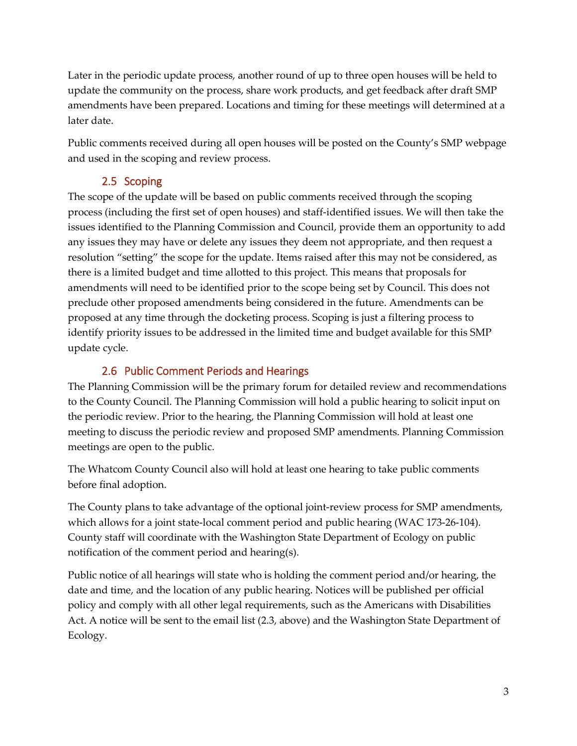Later in the periodic update process, another round of up to three open houses will be held to update the community on the process, share work products, and get feedback after draft SMP amendments have been prepared. Locations and timing for these meetings will determined at a later date.

Public comments received during all open houses will be posted on the County's SMP webpage and used in the scoping and review process.

#### 2.5 Scoping

The scope of the update will be based on public comments received through the scoping process (including the first set of open houses) and staff-identified issues. We will then take the issues identified to the Planning Commission and Council, provide them an opportunity to add any issues they may have or delete any issues they deem not appropriate, and then request a resolution "setting" the scope for the update. Items raised after this may not be considered, as there is a limited budget and time allotted to this project. This means that proposals for amendments will need to be identified prior to the scope being set by Council. This does not preclude other proposed amendments being considered in the future. Amendments can be proposed at any time through the docketing process. Scoping is just a filtering process to identify priority issues to be addressed in the limited time and budget available for this SMP update cycle.

#### 2.6 Public Comment Periods and Hearings

The Planning Commission will be the primary forum for detailed review and recommendations to the County Council. The Planning Commission will hold a public hearing to solicit input on the periodic review. Prior to the hearing, the Planning Commission will hold at least one meeting to discuss the periodic review and proposed SMP amendments. Planning Commission meetings are open to the public.

The Whatcom County Council also will hold at least one hearing to take public comments before final adoption.

The County plans to take advantage of the optional joint-review process for SMP amendments, which allows for a joint state-local comment period and public hearing (WAC 173-26-104). County staff will coordinate with the Washington State Department of Ecology on public notification of the comment period and hearing(s).

Public notice of all hearings will state who is holding the comment period and/or hearing, the date and time, and the location of any public hearing. Notices will be published per official policy and comply with all other legal requirements, such as the Americans with Disabilities Act. A notice will be sent to the email list [\(2.3,](#page-1-1) above) and the Washington State Department of Ecology.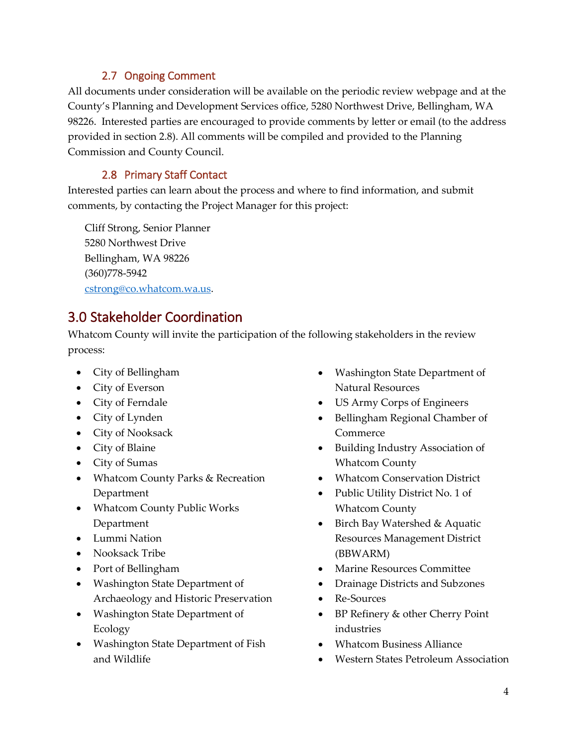#### 2.7 Ongoing Comment

All documents under consideration will be available on the periodic review webpage and at the County's Planning and Development Services office, 5280 Northwest Drive, Bellingham, WA 98226. Interested parties are encouraged to provide comments by letter or email (to the address provided in section [2.8\)](#page-3-0). All comments will be compiled and provided to the Planning Commission and County Council.

#### 2.8 Primary Staff Contact

<span id="page-3-0"></span>Interested parties can learn about the process and where to find information, and submit comments, by contacting the Project Manager for this project:

Cliff Strong, Senior Planner 5280 Northwest Drive Bellingham, WA 98226 (360)778-5942 cstrong@co.whatcom.wa.us.

## 3.0 Stakeholder Coordination

Whatcom County will invite the participation of the following stakeholders in the review process:

- City of Bellingham
- City of Everson
- City of Ferndale
- City of Lynden
- City of Nooksack
- City of Blaine
- City of Sumas
- Whatcom County Parks & Recreation Department
- Whatcom County Public Works Department
- Lummi Nation
- Nooksack Tribe
- Port of Bellingham
- Washington State Department of Archaeology and Historic Preservation
- Washington State Department of Ecology
- Washington State Department of Fish and Wildlife
- Washington State Department of Natural Resources
- US Army Corps of Engineers
- Bellingham Regional Chamber of Commerce
- Building Industry Association of Whatcom County
- Whatcom Conservation District
- Public Utility District No. 1 of Whatcom County
- Birch Bay Watershed & Aquatic Resources Management District (BBWARM)
- Marine Resources Committee
- Drainage Districts and Subzones
- Re-Sources
- BP Refinery & other Cherry Point industries
- Whatcom Business Alliance
- Western States Petroleum Association